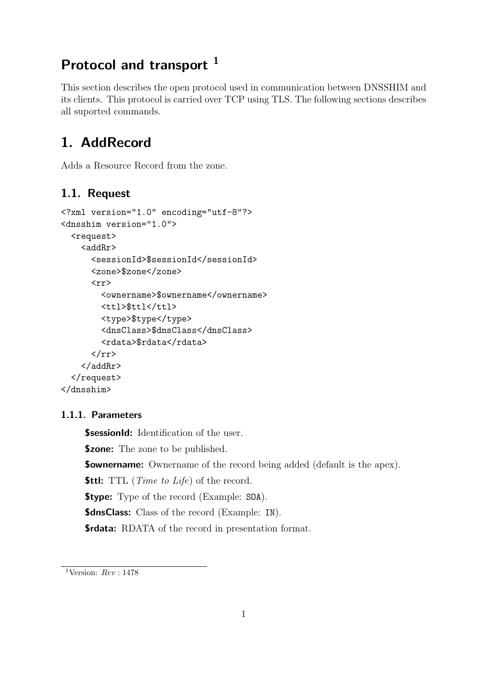## Protocol and transport <sup>1</sup>

This section describes the open protocol used in communication between DNSSHIM and its clients. This protocol is carried over TCP using TLS. The following sections describes all suported commands.

## 1. AddRecord

Adds a Resource Record from the zone.

## 1.1. Request

```
<?xml version="1.0" encoding="utf-8"?>
<dnsshim version="1.0">
  <request>
    <addRr>
      <sessionId>$sessionId</sessionId>
      <zone>$zone</zone>
      \langle rr \rangle<ownername>$ownername</ownername>
        <ttl>$ttl</ttl>
        <type>$type</type>
        <dnsClass>$dnsClass</dnsClass>
        <rdata>$rdata</rdata>
      \langle/rr>
    </addRr>
  </request>
</dnsshim>
```
#### 1.1.1. Parameters

**\$sessionId:** Identification of the user.

**\$zone:** The zone to be published.

**\$ownername:** Ownername of the record being added (default is the apex).

**\$ttl:** TTL (*Time to Life*) of the record.

**\$type:** Type of the record (Example: SOA).

**\$dnsClass:** Class of the record (Example: IN).

\$rdata: RDATA of the record in presentation format.

<sup>&</sup>lt;sup>1</sup>Version:  $Rev : 1478$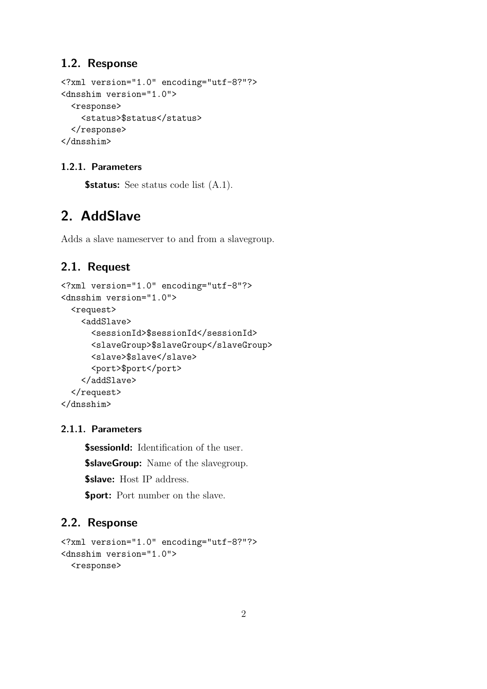### 1.2. Response

```
<?xml version="1.0" encoding="utf-8?"?>
<dnsshim version="1.0">
  <response>
    <status>$status</status>
  </response>
</dnsshim>
```
### 1.2.1. Parameters

**\$status:** See status code list  $(A.1)$ .

## 2. AddSlave

Adds a slave nameserver to and from a slavegroup.

## 2.1. Request

```
<?xml version="1.0" encoding="utf-8"?>
<dnsshim version="1.0">
  <request>
    <addSlave>
      <sessionId>$sessionId</sessionId>
      <slaveGroup>$slaveGroup</slaveGroup>
      <slave>$slave</slave>
      <port>$port</port>
    </addSlave>
  </request>
</dnsshim>
```
#### 2.1.1. Parameters

**\$sessionId:** Identification of the user.

**\$slaveGroup:** Name of the slavegroup.

\$slave: Host IP address.

\$port: Port number on the slave.

```
<?xml version="1.0" encoding="utf-8?"?>
<dnsshim version="1.0">
  <response>
```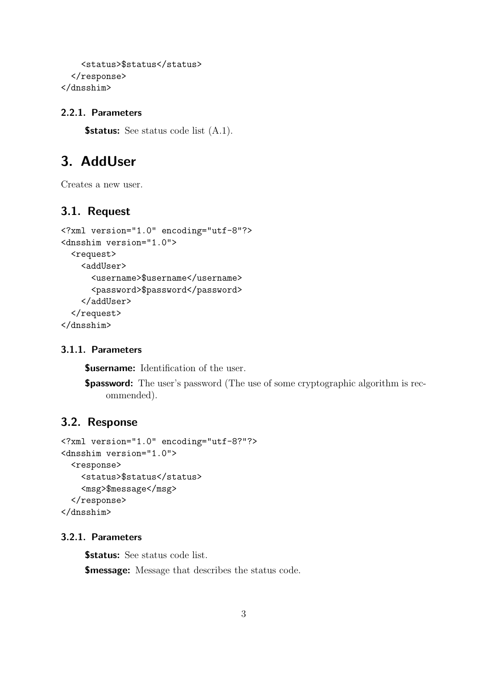```
<status>$status</status>
  </response>
</dnsshim>
```
**\$status:** See status code list  $(A.1)$ .

## 3. AddUser

Creates a new user.

#### 3.1. Request

```
<?xml version="1.0" encoding="utf-8"?>
<dnsshim version="1.0">
  <request>
    <addUser>
      <username>$username</username>
      <password>$password</password>
    </addUser>
  </request>
</dnsshim>
```
#### 3.1.1. Parameters

**\$username:** Identification of the user.

\$password: The user's password (The use of some cryptographic algorithm is recommended).

#### 3.2. Response

```
<?xml version="1.0" encoding="utf-8?"?>
<dnsshim version="1.0">
  <response>
    <status>$status</status>
    <msg>$message</msg>
  </response>
</dnsshim>
```
#### 3.2.1. Parameters

**\$status:** See status code list.

**\$message:** Message that describes the status code.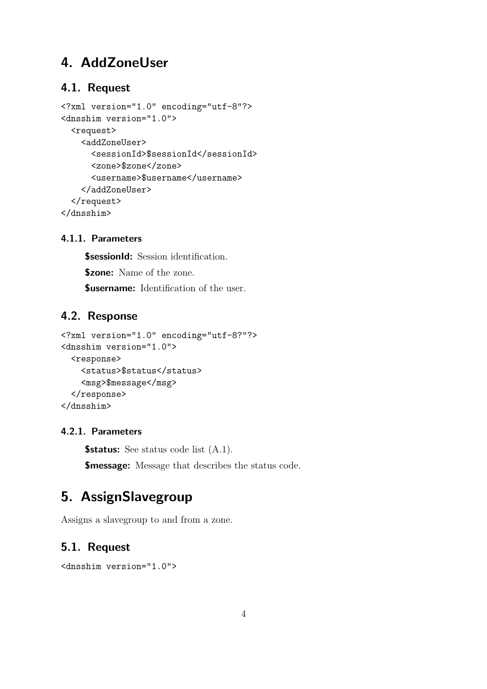## 4. AddZoneUser

### 4.1. Request

```
<?xml version="1.0" encoding="utf-8"?>
<dnsshim version="1.0">
  <request>
    <addZoneUser>
      <sessionId>$sessionId</sessionId>
      <zone>$zone</zone>
      <username>$username</username>
    </addZoneUser>
  </request>
</dnsshim>
```
### 4.1.1. Parameters

**\$sessionId:** Session identification. **\$zone:** Name of the zone. **\$username:** Identification of the user.

## 4.2. Response

```
<?xml version="1.0" encoding="utf-8?"?>
<dnsshim version="1.0">
  <response>
    <status>$status</status>
    <msg>$message</msg>
  </response>
</dnsshim>
```
#### 4.2.1. Parameters

**\$status:** See status code list  $(A.1)$ .

**\$message:** Message that describes the status code.

## 5. AssignSlavegroup

Assigns a slavegroup to and from a zone.

```
<dnsshim version="1.0">
```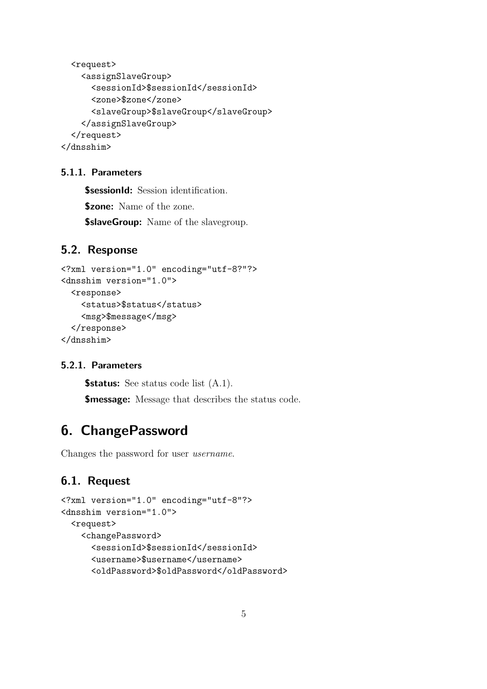```
<request>
    <assignSlaveGroup>
      <sessionId>$sessionId</sessionId>
      <zone>$zone</zone>
      <slaveGroup>$slaveGroup</slaveGroup>
    </assignSlaveGroup>
  </request>
</dnsshim>
```
**\$sessionId:** Session identification. \$zone: Name of the zone. **\$slaveGroup:** Name of the slavegroup.

#### 5.2. Response

```
<?xml version="1.0" encoding="utf-8?"?>
<dnsshim version="1.0">
  <response>
    <status>$status</status>
    <msg>$message</msg>
  </response>
</dnsshim>
```
#### 5.2.1. Parameters

**\$status:** See status code list  $(A.1)$ .

**\$message:** Message that describes the status code.

## 6. ChangePassword

Changes the password for user username.

```
<?xml version="1.0" encoding="utf-8"?>
<dnsshim version="1.0">
  <request>
    <changePassword>
      <sessionId>$sessionId</sessionId>
      <username>$username</username>
      <oldPassword>$oldPassword</oldPassword>
```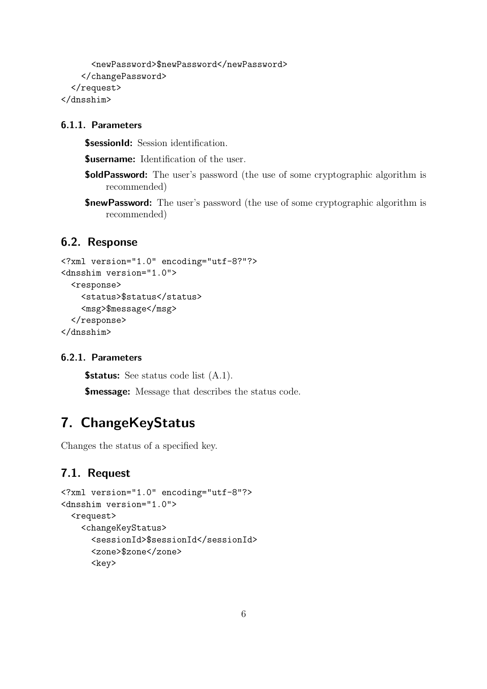```
<newPassword>$newPassword</newPassword>
    </changePassword>
  </request>
</dnsshim>
```
**\$sessionId:** Session identification.

**Susername:** Identification of the user.

- **\$oldPassword:** The user's password (the use of some cryptographic algorithm is recommended)
- **\$newPassword:** The user's password (the use of some cryptographic algorithm is recommended)

## 6.2. Response

```
<?xml version="1.0" encoding="utf-8?"?>
<dnsshim version="1.0">
  <response>
    <status>$status</status>
    <msg>$message</msg>
  </response>
</dnsshim>
```
#### 6.2.1. Parameters

**\$status:** See status code list  $(A.1)$ .

**\$message:** Message that describes the status code.

## 7. ChangeKeyStatus

Changes the status of a specified key.

```
<?xml version="1.0" encoding="utf-8"?>
<dnsshim version="1.0">
  <request>
    <changeKeyStatus>
      <sessionId>$sessionId</sessionId>
      <zone>$zone</zone>
      <key>
```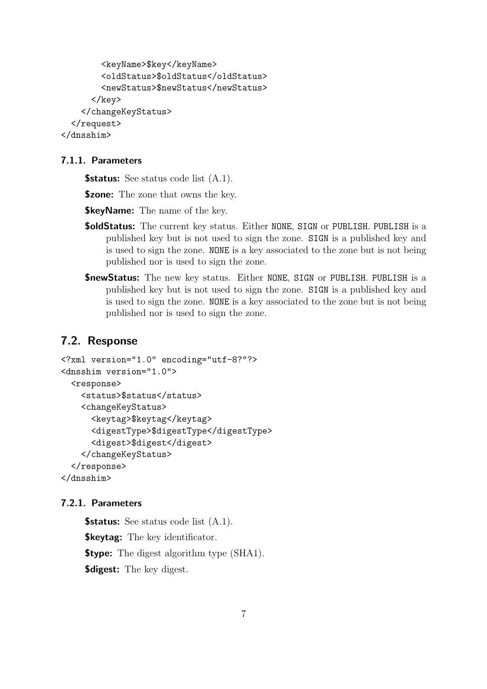```
<keyName>$key</keyName>
        <oldStatus>$oldStatus</oldStatus>
        <newStatus>$newStatus</newStatus>
      \langlekey>
    </changeKeyStatus>
  </request>
</dnsshim>
```
**\$status:** See status code list  $(A.1)$ .

**\$zone:** The zone that owns the key.

**\$keyName:** The name of the key.

- **\$oldStatus:** The current key status. Either NONE, SIGN or PUBLISH. PUBLISH is a published key but is not used to sign the zone. SIGN is a published key and is used to sign the zone. NONE is a key associated to the zone but is not being published nor is used to sign the zone.
- \$newStatus: The new key status. Either NONE, SIGN or PUBLISH. PUBLISH is a published key but is not used to sign the zone. SIGN is a published key and is used to sign the zone. NONE is a key associated to the zone but is not being published nor is used to sign the zone.

#### 7.2. Response

```
<?xml version="1.0" encoding="utf-8?"?>
<dnsshim version="1.0">
  <response>
    <status>$status</status>
    <changeKeyStatus>
      <keytag>$keytag</keytag>
      <digestType>$digestType</digestType>
      <digest>$digest</digest>
    </changeKeyStatus>
  </response>
</dnsshim>
```
#### 7.2.1. Parameters

**\$status:** See status code list  $(A.1)$ . **\$keytag:** The key identificator. **\$type:** The digest algorithm type (SHA1). **\$digest:** The key digest.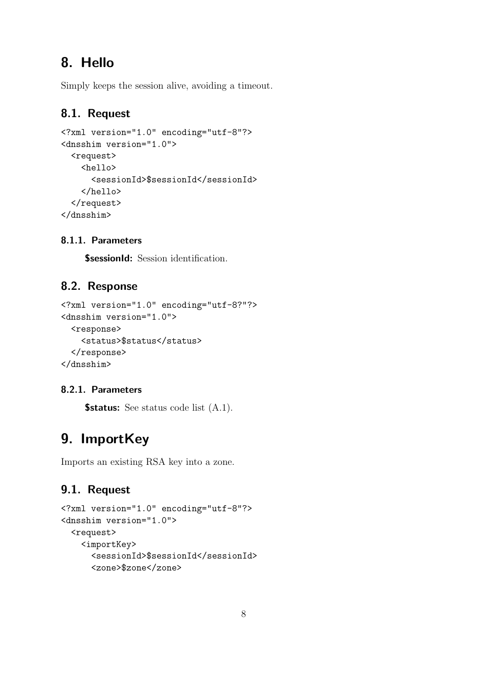# 8. Hello

Simply keeps the session alive, avoiding a timeout.

## 8.1. Request

```
<?xml version="1.0" encoding="utf-8"?>
<dnsshim version="1.0">
  <request>
    <sub>hello</sub></sub>
      <sessionId>$sessionId</sessionId>
    </hello>
  </request>
</dnsshim>
```
### 8.1.1. Parameters

**\$sessionId:** Session identification.

## 8.2. Response

```
<?xml version="1.0" encoding="utf-8?"?>
<dnsshim version="1.0">
  <response>
    <status>$status</status>
  </response>
</dnsshim>
```
### 8.2.1. Parameters

**\$status:** See status code list  $(A.1)$ .

# 9. ImportKey

Imports an existing RSA key into a zone.

```
<?xml version="1.0" encoding="utf-8"?>
<dnsshim version="1.0">
  <request>
    <importKey>
      <sessionId>$sessionId</sessionId>
      <zone>$zone</zone>
```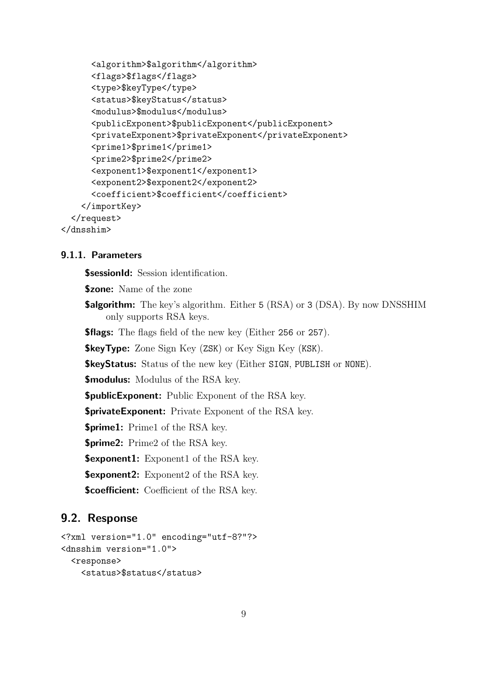```
<algorithm>$algorithm</algorithm>
      <flags>$flags</flags>
      <type>$keyType</type>
      <status>$keyStatus</status>
      <modulus>$modulus</modulus>
      <publicExponent>$publicExponent</publicExponent>
      <privateExponent>$privateExponent</privateExponent>
      <prime1>$prime1</prime1>
      <prime2>$prime2</prime2>
      <exponent1>$exponent1</exponent1>
      <exponent2>$exponent2</exponent2>
      <coefficient>$coefficient</coefficient>
    </importKey>
  </request>
</dnsshim>
```
**\$sessionId:** Session identification.

**\$zone:** Name of the zone

**\$algorithm:** The key's algorithm. Either 5 (RSA) or 3 (DSA). By now DNSSHIM only supports RSA keys.

**\$flags:** The flags field of the new key (Either 256 or 257).

**\$keyType:** Zone Sign Key (ZSK) or Key Sign Key (KSK).

\$keyStatus: Status of the new key (Either SIGN, PUBLISH or NONE).

\$modulus: Modulus of the RSA key.

**\$publicExponent:** Public Exponent of the RSA key.

**\$privateExponent:** Private Exponent of the RSA key.

**\$prime1:** Prime1 of the RSA key.

\$prime2: Prime2 of the RSA key.

**\$exponent1:** Exponent1 of the RSA key.

**\$exponent2:** Exponent2 of the RSA key.

**\$coefficient:** Coefficient of the RSA key.

```
<?xml version="1.0" encoding="utf-8?"?>
<dnsshim version="1.0">
  <response>
    <status>$status</status>
```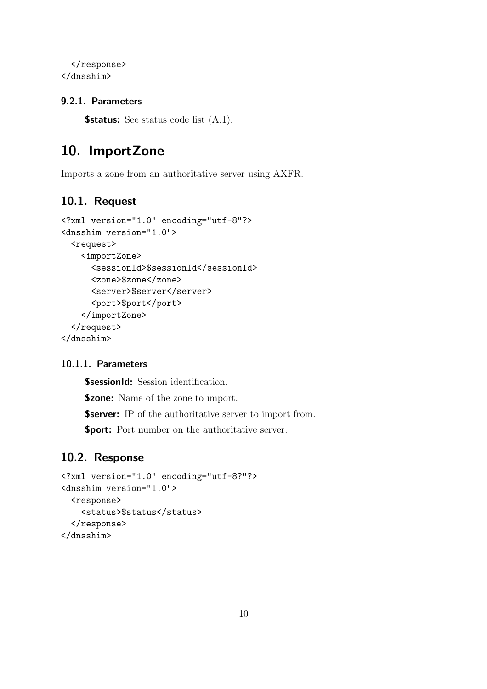```
</response>
</dnsshim>
```
**\$status:** See status code list  $(A.1)$ .

## 10. ImportZone

Imports a zone from an authoritative server using AXFR.

## 10.1. Request

```
<?xml version="1.0" encoding="utf-8"?>
<dnsshim version="1.0">
  <request>
    <importZone>
      <sessionId>$sessionId</sessionId>
      <zone>$zone</zone>
      <server>$server</server>
      <port>$port</port>
    </importZone>
  </request>
</dnsshim>
```
#### 10.1.1. Parameters

**\$sessionId:** Session identification. **\$zone:** Name of the zone to import. **\$server:** IP of the authoritative server to import from. **\$port:** Port number on the authoritative server.

```
<?xml version="1.0" encoding="utf-8?"?>
<dnsshim version="1.0">
  <response>
    <status>$status</status>
  </response>
</dnsshim>
```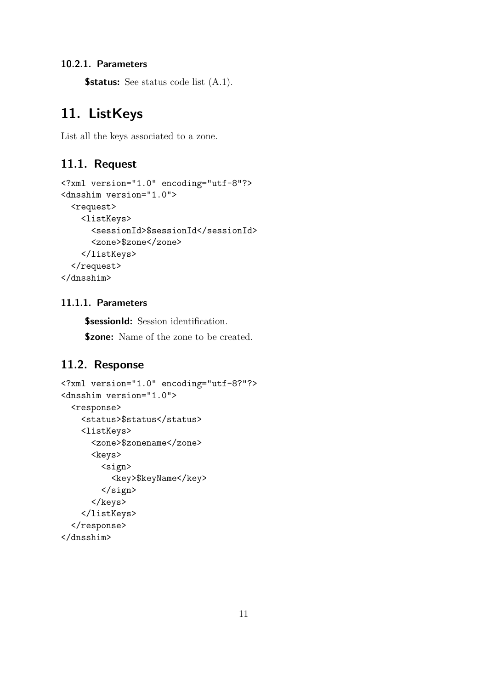**\$status:** See status code list  $(A.1)$ .

## 11. ListKeys

List all the keys associated to a zone.

### 11.1. Request

```
<?xml version="1.0" encoding="utf-8"?>
<dnsshim version="1.0">
  <request>
    <listKeys>
      <sessionId>$sessionId</sessionId>
      <zone>$zone</zone>
    </listKeys>
  </request>
</dnsshim>
```
#### 11.1.1. Parameters

**\$sessionId:** Session identification.

**\$zone:** Name of the zone to be created.

```
<?xml version="1.0" encoding="utf-8?"?>
<dnsshim version="1.0">
  <response>
    <status>$status</status>
    <listKeys>
      <zone>$zonename</zone>
      <keys>
        <sign>
          <key>$keyName</key>
        </sign>
      </keys>
    </listKeys>
  </response>
</dnsshim>
```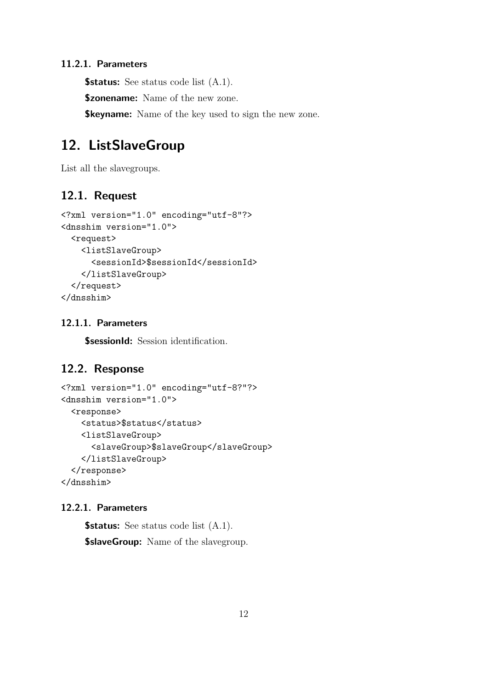**\$status:** See status code list  $(A.1)$ .

**\$zonename:** Name of the new zone.

**\$keyname:** Name of the key used to sign the new zone.

## 12. ListSlaveGroup

List all the slavegroups.

## 12.1. Request

```
<?xml version="1.0" encoding="utf-8"?>
<dnsshim version="1.0">
  <request>
    <listSlaveGroup>
      <sessionId>$sessionId</sessionId>
    </listSlaveGroup>
  </request>
</dnsshim>
```
#### 12.1.1. Parameters

**\$sessionId:** Session identification.

## 12.2. Response

```
<?xml version="1.0" encoding="utf-8?"?>
<dnsshim version="1.0">
  <response>
    <status>$status</status>
    <listSlaveGroup>
      <slaveGroup>$slaveGroup</slaveGroup>
    </listSlaveGroup>
  </response>
</dnsshim>
```
#### 12.2.1. Parameters

**\$status:** See status code list  $(A.1)$ .

**\$slaveGroup:** Name of the slavegroup.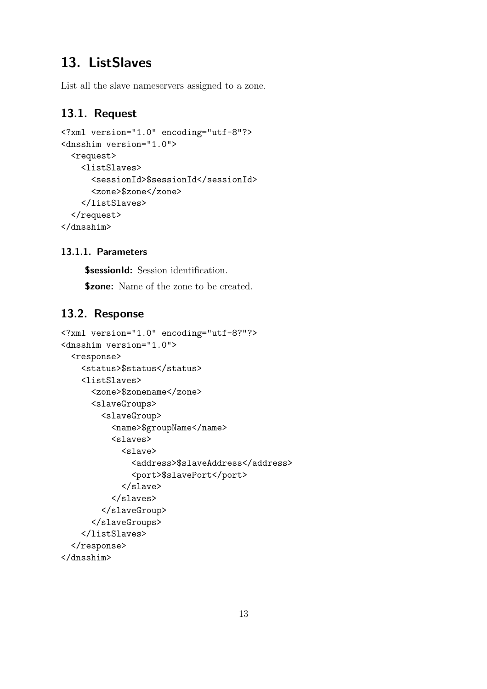## 13. ListSlaves

List all the slave nameservers assigned to a zone.

## 13.1. Request

```
<?xml version="1.0" encoding="utf-8"?>
<dnsshim version="1.0">
  <request>
    <listSlaves>
      <sessionId>$sessionId</sessionId>
      <zone>$zone</zone>
    </listSlaves>
  </request>
</dnsshim>
```
#### 13.1.1. Parameters

**\$sessionId:** Session identification.

**\$zone:** Name of the zone to be created.

```
<?xml version="1.0" encoding="utf-8?"?>
<dnsshim version="1.0">
  <response>
    <status>$status</status>
    <listSlaves>
      <zone>$zonename</zone>
      <slaveGroups>
        <slaveGroup>
          <name>$groupName</name>
          <slaves>
            <slave>
              <address>$slaveAddress</address>
              <port>$slavePort</port>
            </slave>
          </slaves>
        </slaveGroup>
      </slaveGroups>
    </listSlaves>
  </response>
</dnsshim>
```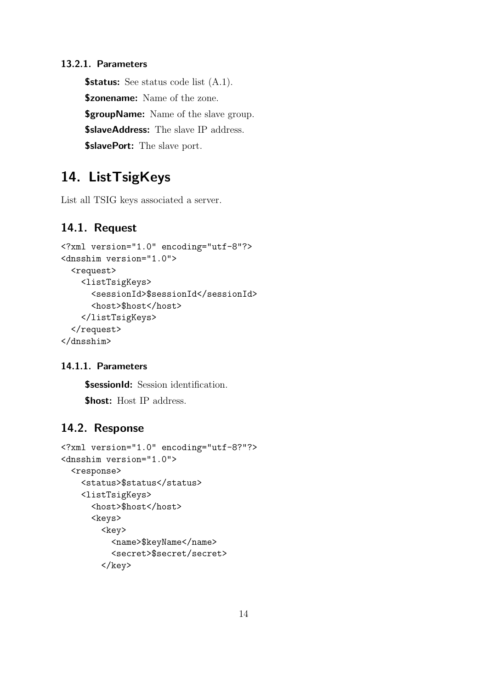**\$status:** See status code list  $(A.1)$ . **\$zonename:** Name of the zone. **\$groupName:** Name of the slave group. \$slaveAddress: The slave IP address. **\$slavePort:** The slave port.

# 14. ListTsigKeys

List all TSIG keys associated a server.

### 14.1. Request

```
<?xml version="1.0" encoding="utf-8"?>
<dnsshim version="1.0">
  <request>
    <listTsigKeys>
      <sessionId>$sessionId</sessionId>
      <host>$host</host>
    </listTsigKeys>
  </request>
</dnsshim>
```
#### 14.1.1. Parameters

**\$sessionId:** Session identification. \$host: Host IP address.

```
<?xml version="1.0" encoding="utf-8?"?>
<dnsshim version="1.0">
  <response>
    <status>$status</status>
    <listTsigKeys>
      <host>$host</host>
      <keys>
        <key>
          <name>$keyName</name>
          <secret>$secret/secret>
        \langlekey>
```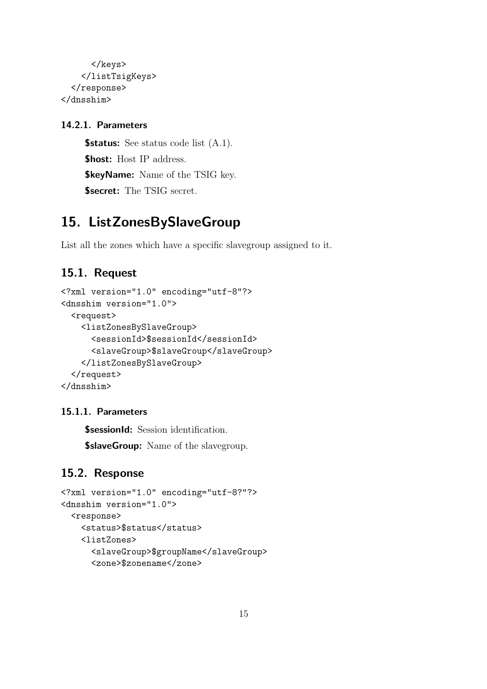```
</keys>
    </listTsigKeys>
  </response>
</dnsshim>
```
**\$status:** See status code list  $(A.1)$ . \$host: Host IP address. **\$keyName:** Name of the TSIG key. **\$secret:** The TSIG secret.

## 15. ListZonesBySlaveGroup

List all the zones which have a specific slavegroup assigned to it.

### 15.1. Request

```
<?xml version="1.0" encoding="utf-8"?>
<dnsshim version="1.0">
  <request>
    <listZonesBySlaveGroup>
      <sessionId>$sessionId</sessionId>
      <slaveGroup>$slaveGroup</slaveGroup>
    </listZonesBySlaveGroup>
  </request>
</dnsshim>
```
#### 15.1.1. Parameters

**\$sessionId:** Session identification.

**\$slaveGroup:** Name of the slavegroup.

```
<?xml version="1.0" encoding="utf-8?"?>
<dnsshim version="1.0">
  <response>
    <status>$status</status>
    <listZones>
      <slaveGroup>$groupName</slaveGroup>
      <zone>$zonename</zone>
```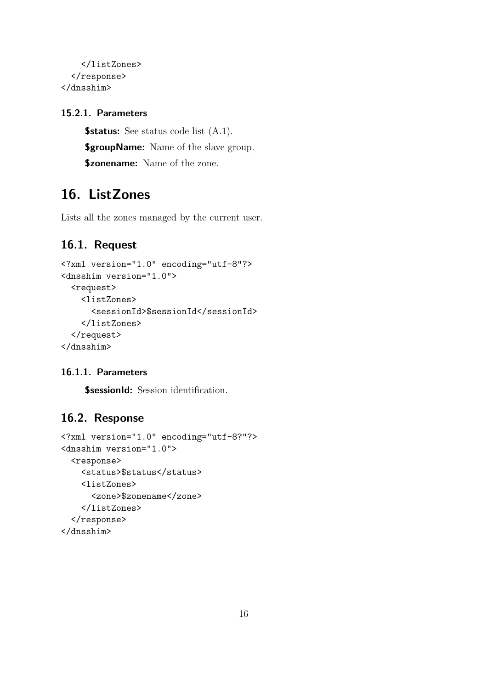```
</listZones>
  </response>
</dnsshim>
```
**\$status:** See status code list  $(A.1)$ . **\$groupName:** Name of the slave group. **\$zonename:** Name of the zone.

## 16. ListZones

Lists all the zones managed by the current user.

## 16.1. Request

```
<?xml version="1.0" encoding="utf-8"?>
<dnsshim version="1.0">
  <request>
    <listZones>
      <sessionId>$sessionId</sessionId>
    </listZones>
  </request>
</dnsshim>
```
#### 16.1.1. Parameters

**\$sessionId:** Session identification.

```
<?xml version="1.0" encoding="utf-8?"?>
<dnsshim version="1.0">
  <response>
    <status>$status</status>
    <listZones>
      <zone>$zonename</zone>
    </listZones>
  </response>
</dnsshim>
```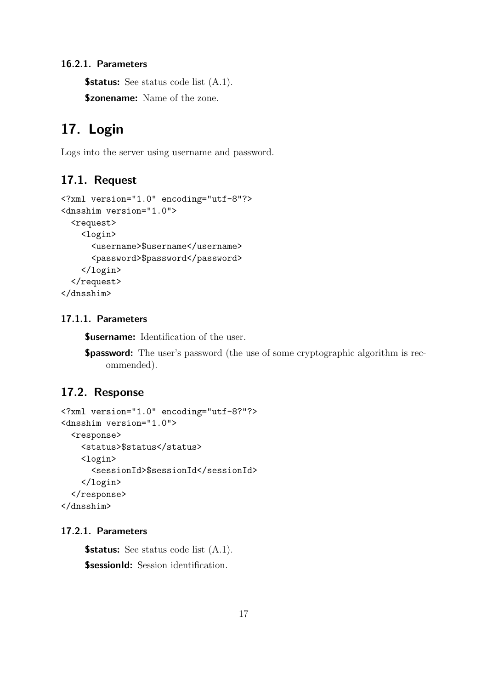**\$status:** See status code list  $(A.1)$ .

**\$zonename:** Name of the zone.

## 17. Login

Logs into the server using username and password.

### 17.1. Request

```
<?xml version="1.0" encoding="utf-8"?>
<dnsshim version="1.0">
  <request>
    <login>
      <username>$username</username>
      <password>$password</password>
    </login>
  </request>
</dnsshim>
```
#### 17.1.1. Parameters

**\$username:** Identification of the user.

**\$password:** The user's password (the use of some cryptographic algorithm is recommended).

## 17.2. Response

```
<?xml version="1.0" encoding="utf-8?"?>
<dnsshim version="1.0">
  <response>
    <status>$status</status>
    <login>
      <sessionId>$sessionId</sessionId>
    </login>
  </response>
</dnsshim>
```
#### 17.2.1. Parameters

**\$status:** See status code list  $(A.1)$ .

**\$sessionId:** Session identification.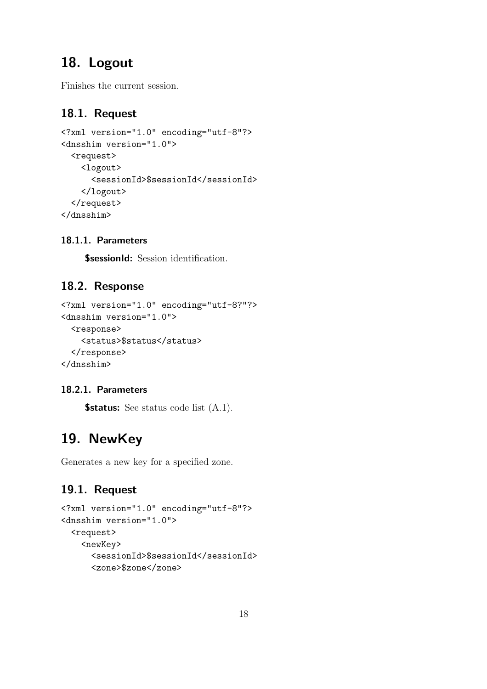# 18. Logout

Finishes the current session.

## 18.1. Request

```
<?xml version="1.0" encoding="utf-8"?>
<dnsshim version="1.0">
  <request>
    <logout>
      <sessionId>$sessionId</sessionId>
    </logout>
  </request>
</dnsshim>
```
### 18.1.1. Parameters

**\$sessionId:** Session identification.

## 18.2. Response

```
<?xml version="1.0" encoding="utf-8?"?>
<dnsshim version="1.0">
  <response>
    <status>$status</status>
  </response>
</dnsshim>
```
### 18.2.1. Parameters

**\$status:** See status code list  $(A.1)$ .

# 19. NewKey

Generates a new key for a specified zone.

```
<?xml version="1.0" encoding="utf-8"?>
<dnsshim version="1.0">
  <request>
    <newKey>
      <sessionId>$sessionId</sessionId>
      <zone>$zone</zone>
```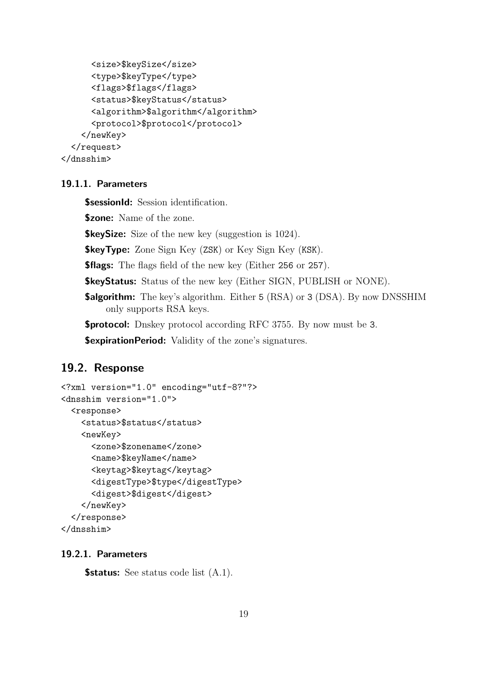```
<size>$keySize</size>
      <type>$keyType</type>
      <flags>$flags</flags>
      <status>$keyStatus</status>
      <algorithm>$algorithm</algorithm>
      <protocol>$protocol</protocol>
    </newKey>
  </request>
</dnsshim>
```
**\$sessionId:** Session identification.

**\$zone:** Name of the zone.

**\$keySize:** Size of the new key (suggestion is 1024).

**\$keyType:** Zone Sign Key (ZSK) or Key Sign Key (KSK).

**\$flags:** The flags field of the new key (Either 256 or 257).

\$keyStatus: Status of the new key (Either SIGN, PUBLISH or NONE).

**\$algorithm:** The key's algorithm. Either 5 (RSA) or 3 (DSA). By now DNSSHIM only supports RSA keys.

\$protocol: Dnskey protocol according RFC 3755. By now must be 3.

**\$expirationPeriod:** Validity of the zone's signatures.

#### 19.2. Response

```
<?xml version="1.0" encoding="utf-8?"?>
<dnsshim version="1.0">
  <response>
    <status>$status</status>
    <newKey>
      <zone>$zonename</zone>
      <name>$keyName</name>
      <keytag>$keytag</keytag>
      <digestType>$type</digestType>
      <digest>$digest</digest>
    </newKey>
  </response>
</dnsshim>
```
#### 19.2.1. Parameters

**\$status:** See status code list  $(A.1)$ .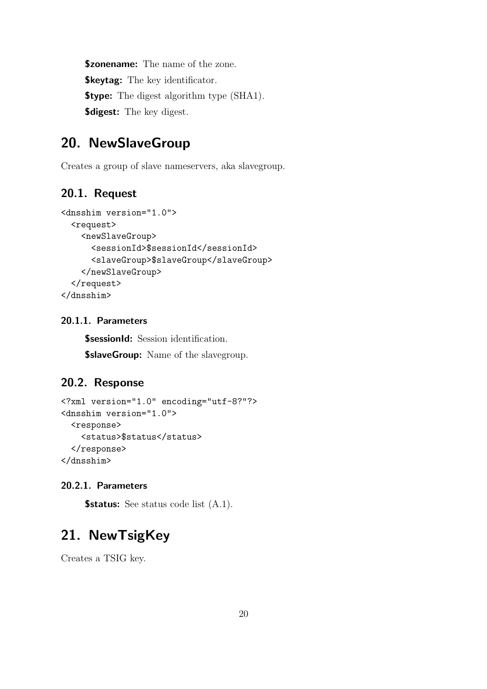**\$zonename:** The name of the zone. **\$keytag:** The key identificator. **\$type:** The digest algorithm type (SHA1). **\$digest:** The key digest.

## 20. NewSlaveGroup

Creates a group of slave nameservers, aka slavegroup.

### 20.1. Request

```
<dnsshim version="1.0">
  <request>
    <newSlaveGroup>
      <sessionId>$sessionId</sessionId>
      <slaveGroup>$slaveGroup</slaveGroup>
    </newSlaveGroup>
  </request>
</dnsshim>
```
#### 20.1.1. Parameters

**\$sessionId:** Session identification. **\$slaveGroup:** Name of the slavegroup.

#### 20.2. Response

```
<?xml version="1.0" encoding="utf-8?"?>
<dnsshim version="1.0">
  <response>
    <status>$status</status>
  </response>
</dnsshim>
```
#### 20.2.1. Parameters

**\$status:** See status code list  $(A.1)$ .

## 21. NewTsigKey

Creates a TSIG key.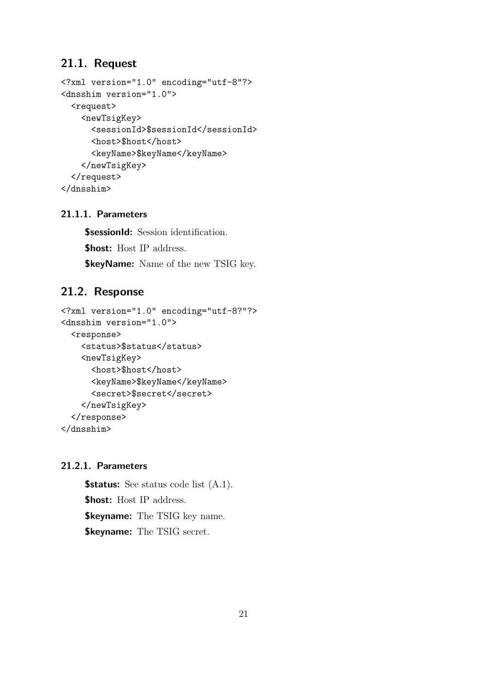### 21.1. Request

```
<?xml version="1.0" encoding="utf-8"?>
<dnsshim version="1.0">
  <request>
    <newTsigKey>
      <sessionId>$sessionId</sessionId>
      <host>$host</host>
      <keyName>$keyName</keyName>
    </newTsigKey>
  </request>
</dnsshim>
```
#### 21.1.1. Parameters

**\$sessionId:** Session identification. \$host: Host IP address. **\$keyName:** Name of the new TSIG key.

### 21.2. Response

```
<?xml version="1.0" encoding="utf-8?"?>
<dnsshim version="1.0">
  <response>
    <status>$status</status>
    <newTsigKey>
      <host>$host</host>
      <keyName>$keyName</keyName>
      <secret>$secret</secret>
    </newTsigKey>
  </response>
</dnsshim>
```
#### 21.2.1. Parameters

**\$status:** See status code list  $(A.1)$ . \$host: Host IP address. **\$keyname:** The TSIG key name. **\$keyname:** The TSIG secret.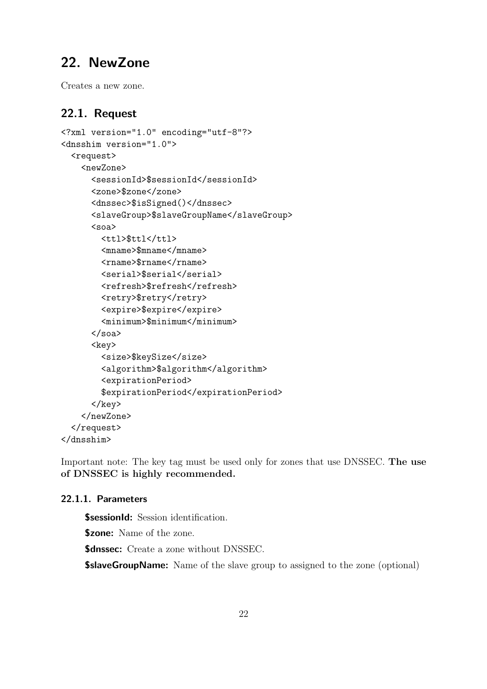## 22. NewZone

Creates a new zone.

## 22.1. Request

```
<?xml version="1.0" encoding="utf-8"?>
<dnsshim version="1.0">
  <request>
    <newZone>
      <sessionId>$sessionId</sessionId>
      <zone>$zone</zone>
      <dnssec>$isSigned()</dnssec>
      <slaveGroup>$slaveGroupName</slaveGroup>
      <soa>
        <ttl>$ttl</ttl>
        <mname>$mname</mname>
        <rname>$rname</rname>
        <serial>$serial</serial>
        <refresh>$refresh</refresh>
        <retry>$retry</retry>
        <expire>$expire</expire>
        <minimum>$minimum</minimum>
      \langle/soa\rangle<key>
        <size>$keySize</size>
        <algorithm>$algorithm</algorithm>
        <expirationPeriod>
        $expirationPeriod</expirationPeriod>
      \langlekey>
    </newZone>
  </request>
</dnsshim>
```
Important note: The key tag must be used only for zones that use DNSSEC. The use of DNSSEC is highly recommended.

#### 22.1.1. Parameters

**\$sessionId:** Session identification. **\$zone:** Name of the zone. **\$dnssec:** Create a zone without DNSSEC.

**\$slaveGroupName:** Name of the slave group to assigned to the zone (optional)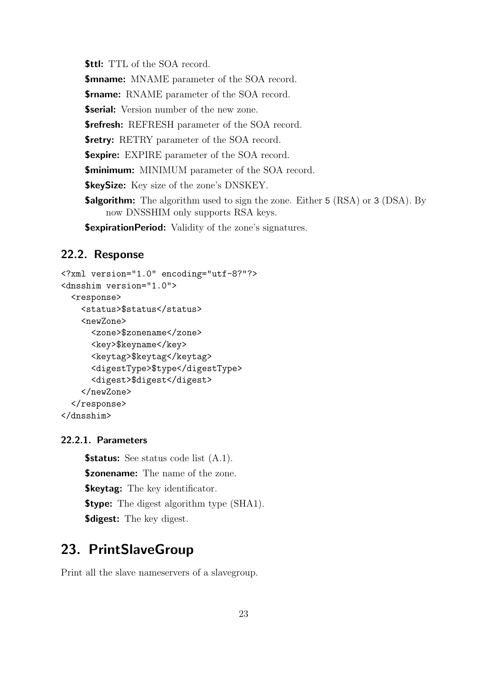**\$ttl:** TTL of the SOA record. **\$mname:** MNAME parameter of the SOA record. **\$rname:** RNAME parameter of the SOA record. **\$serial:** Version number of the new zone. **\$refresh:** REFRESH parameter of the SOA record. **\$retry:** RETRY parameter of the SOA record. **\$expire:** EXPIRE parameter of the SOA record. **\$minimum:** MINIMUM parameter of the SOA record. **\$keySize:** Key size of the zone's DNSKEY. **\$algorithm:** The algorithm used to sign the zone. Either 5 (RSA) or 3 (DSA). By now DNSSHIM only supports RSA keys. **\$expirationPeriod:** Validity of the zone's signatures.

#### 22.2. Response

```
<?xml version="1.0" encoding="utf-8?"?>
<dnsshim version="1.0">
  <response>
    <status>$status</status>
    <newZone>
      <zone>$zonename</zone>
      <key>$keyname</key>
      <keytag>$keytag</keytag>
      <digestType>$type</digestType>
      <digest>$digest</digest>
    </newZone>
  </response>
</dnsshim>
```
#### 22.2.1. Parameters

**\$status:** See status code list  $(A.1)$ . **\$zonename:** The name of the zone. **\$keytag:** The key identificator. **\$type:** The digest algorithm type (SHA1). **\$digest:** The key digest.

## 23. PrintSlaveGroup

Print all the slave nameservers of a slavegroup.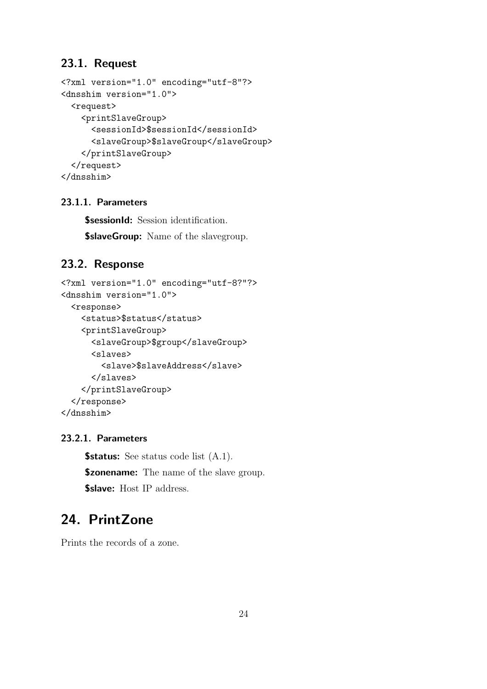### 23.1. Request

```
<?xml version="1.0" encoding="utf-8"?>
<dnsshim version="1.0">
  <request>
    <printSlaveGroup>
      <sessionId>$sessionId</sessionId>
      <slaveGroup>$slaveGroup</slaveGroup>
    </printSlaveGroup>
  </request>
</dnsshim>
```
## 23.1.1. Parameters

**\$sessionId:** Session identification. **\$slaveGroup:** Name of the slavegroup.

### 23.2. Response

```
<?xml version="1.0" encoding="utf-8?"?>
<dnsshim version="1.0">
  <response>
    <status>$status</status>
    <printSlaveGroup>
      <slaveGroup>$group</slaveGroup>
      <slaves>
        <slave>$slaveAddress</slave>
      </slaves>
    </printSlaveGroup>
  </response>
</dnsshim>
```
#### 23.2.1. Parameters

**\$status:** See status code list  $(A.1)$ . **\$zonename:** The name of the slave group. \$slave: Host IP address.

# 24. PrintZone

Prints the records of a zone.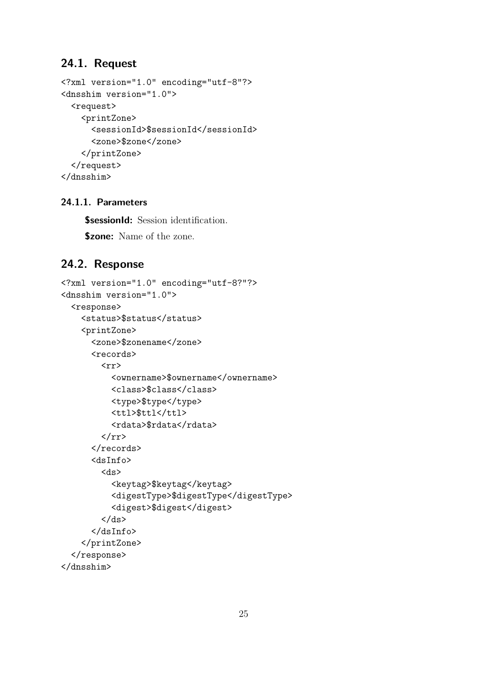### 24.1. Request

```
<?xml version="1.0" encoding="utf-8"?>
<dnsshim version="1.0">
  <request>
    <printZone>
      <sessionId>$sessionId</sessionId>
      <zone>$zone</zone>
    </printZone>
  </request>
</dnsshim>
```
#### 24.1.1. Parameters

**\$sessionId:** Session identification.

**\$zone:** Name of the zone.

```
<?xml version="1.0" encoding="utf-8?"?>
<dnsshim version="1.0">
  <response>
    <status>$status</status>
    <printZone>
      <zone>$zonename</zone>
      <records>
        \langle rr \rangle<ownername>$ownername</ownername>
           <class>$class</class>
           <type>$type</type>
           <ttl>$ttl</ttl>
           <rdata>$rdata</rdata>
        \langle/rr>
      \langle/records>
      <dsInfo>
        <ds>
           <keytag>$keytag</keytag>
           <digestType>$digestType</digestType>
           <digest>$digest</digest>
        \langle/ds>
      </dsInfo>
    </printZone>
  </response>
</dnsshim>
```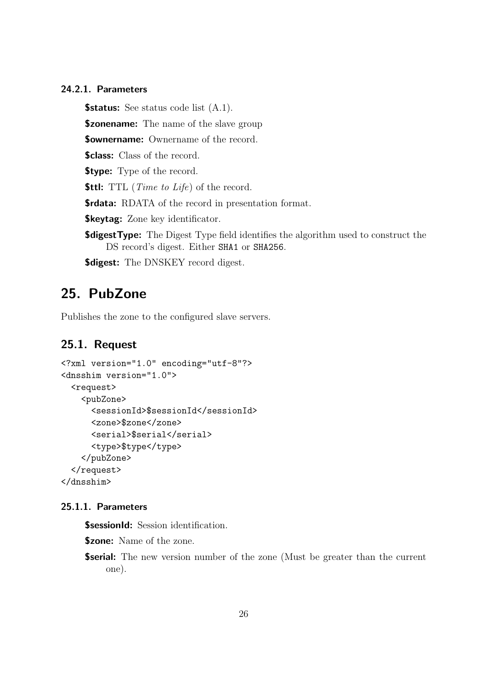**\$status:** See status code list  $(A.1)$ .

**\$zonename:** The name of the slave group

**Sownername:** Ownername of the record.

**\$class:** Class of the record.

**\$type:** Type of the record.

**\$ttl:** TTL (*Time to Life*) of the record.

\$rdata: RDATA of the record in presentation format.

**\$keytag:** Zone key identificator.

**\$digestType:** The Digest Type field identifies the algorithm used to construct the DS record's digest. Either SHA1 or SHA256.

**\$digest:** The DNSKEY record digest.

## 25. PubZone

Publishes the zone to the configured slave servers.

#### 25.1. Request

```
<?xml version="1.0" encoding="utf-8"?>
<dnsshim version="1.0">
  <request>
    <pubZone>
      <sessionId>$sessionId</sessionId>
      <zone>$zone</zone>
      <serial>$serial</serial>
      <type>$type</type>
    </pubZone>
  </request>
</dnsshim>
```
#### 25.1.1. Parameters

**\$sessionId:** Session identification.

**\$zone:** Name of the zone.

**\$serial:** The new version number of the zone (Must be greater than the current one).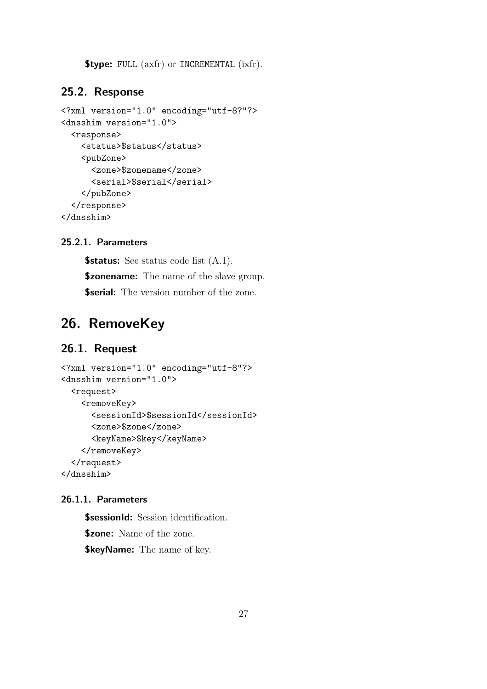**\$type:** FULL (axfr) or INCREMENTAL (ixfr).

#### 25.2. Response

```
<?xml version="1.0" encoding="utf-8?"?>
<dnsshim version="1.0">
  <response>
    <status>$status</status>
    <pubZone>
      <zone>$zonename</zone>
      <serial>$serial</serial>
    </pubZone>
  </response>
</dnsshim>
```
#### 25.2.1. Parameters

**\$status:** See status code list  $(A.1)$ . **\$zonename:** The name of the slave group. **\$serial:** The version number of the zone.

## 26. RemoveKey

### 26.1. Request

```
<?xml version="1.0" encoding="utf-8"?>
<dnsshim version="1.0">
  <request>
    <removeKey>
      <sessionId>$sessionId</sessionId>
      <zone>$zone</zone>
      <keyName>$key</keyName>
    </removeKey>
  </request>
</dnsshim>
```
#### 26.1.1. Parameters

**\$sessionId:** Session identification. **\$zone:** Name of the zone. **\$keyName:** The name of key.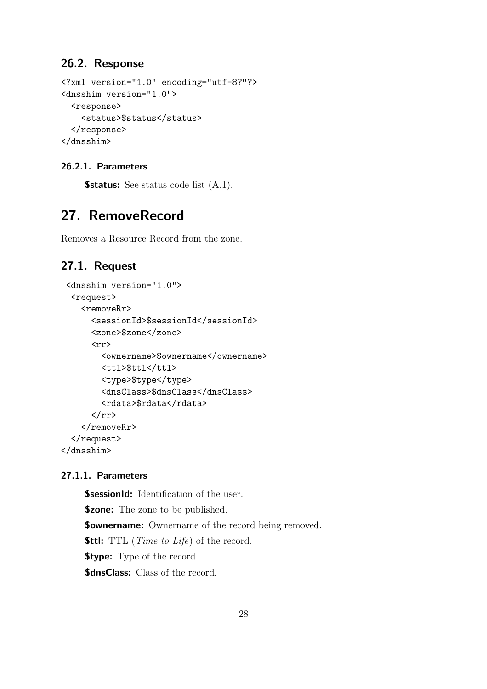## 26.2. Response

```
<?xml version="1.0" encoding="utf-8?"?>
<dnsshim version="1.0">
  <response>
    <status>$status</status>
  </response>
</dnsshim>
```
#### 26.2.1. Parameters

**\$status:** See status code list  $(A.1)$ .

## 27. RemoveRecord

Removes a Resource Record from the zone.

## 27.1. Request

```
<dnsshim version="1.0">
  <request>
    <removeRr>
       <sessionId>$sessionId</sessionId>
      <zone>$zone</zone>
       \langle \text{rr} \rangle<ownername>$ownername</ownername>
         <ttl>$ttl</ttl>
         <type>$type</type>
         <dnsClass>$dnsClass</dnsClass>
         <rdata>$rdata</rdata>
      \langle/rr\rangle</removeRr>
  </request>
</dnsshim>
```
#### 27.1.1. Parameters

**\$sessionId:** Identification of the user. **\$zone:** The zone to be published. **\$ownername:** Ownername of the record being removed. **\$ttl:** TTL (*Time to Life*) of the record. **\$type:** Type of the record. **\$dnsClass:** Class of the record.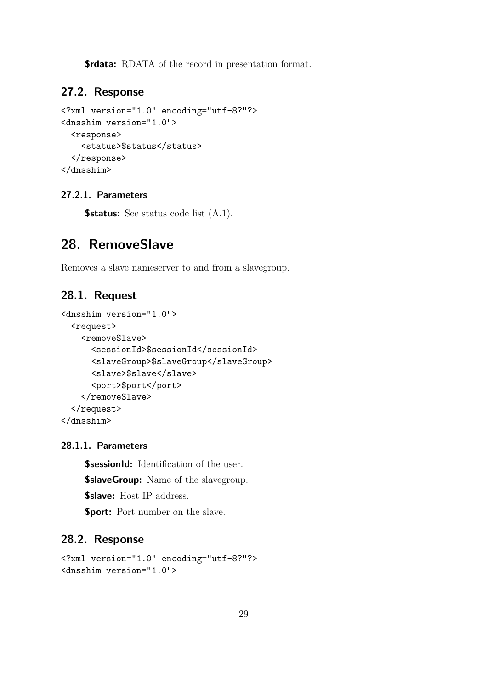**\$rdata:** RDATA of the record in presentation format.

## 27.2. Response

```
<?xml version="1.0" encoding="utf-8?"?>
<dnsshim version="1.0">
  <response>
    <status>$status</status>
  </response>
</dnsshim>
```
#### 27.2.1. Parameters

**\$status:** See status code list  $(A.1)$ .

## 28. RemoveSlave

Removes a slave nameserver to and from a slavegroup.

### 28.1. Request

```
<dnsshim version="1.0">
  <request>
    <removeSlave>
      <sessionId>$sessionId</sessionId>
      <slaveGroup>$slaveGroup</slaveGroup>
      <slave>$slave</slave>
      <port>$port</port>
    </removeSlave>
  </request>
</dnsshim>
```
#### 28.1.1. Parameters

**\$sessionId:** Identification of the user. **\$slaveGroup:** Name of the slavegroup. \$slave: Host IP address. \$port: Port number on the slave.

```
<?xml version="1.0" encoding="utf-8?"?>
<dnsshim version="1.0">
```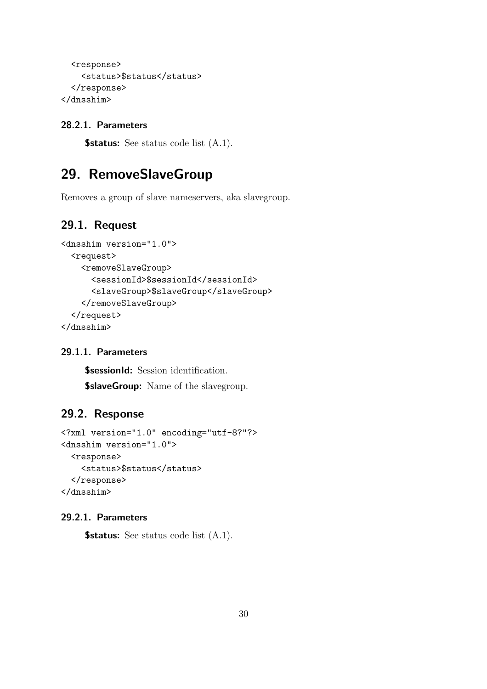```
<response>
    <status>$status</status>
  </response>
</dnsshim>
```
**\$status:** See status code list  $(A.1)$ .

## 29. RemoveSlaveGroup

Removes a group of slave nameservers, aka slavegroup.

## 29.1. Request

```
<dnsshim version="1.0">
  <request>
    <removeSlaveGroup>
      <sessionId>$sessionId</sessionId>
      <slaveGroup>$slaveGroup</slaveGroup>
    </removeSlaveGroup>
  </request>
</dnsshim>
```
#### 29.1.1. Parameters

**\$sessionId:** Session identification.

**\$slaveGroup:** Name of the slavegroup.

### 29.2. Response

```
<?xml version="1.0" encoding="utf-8?"?>
<dnsshim version="1.0">
  <response>
    <status>$status</status>
  </response>
</dnsshim>
```
#### 29.2.1. Parameters

**\$status:** See status code list  $(A.1)$ .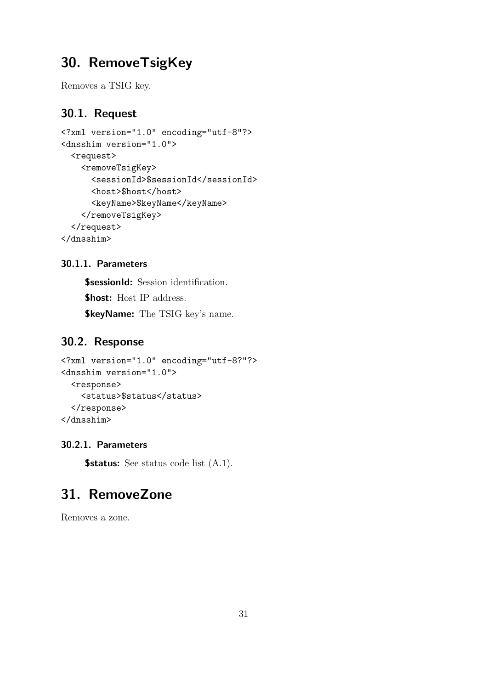## 30. RemoveTsigKey

Removes a TSIG key.

## 30.1. Request

```
<?xml version="1.0" encoding="utf-8"?>
<dnsshim version="1.0">
  <request>
    <removeTsigKey>
      <sessionId>$sessionId</sessionId>
      <host>$host</host>
      <keyName>$keyName</keyName>
    </removeTsigKey>
  </request>
</dnsshim>
```
#### 30.1.1. Parameters

**\$sessionId:** Session identification.

\$host: Host IP address.

**\$keyName:** The TSIG key's name.

## 30.2. Response

```
<?xml version="1.0" encoding="utf-8?"?>
<dnsshim version="1.0">
  <response>
    <status>$status</status>
  </response>
</dnsshim>
```
#### 30.2.1. Parameters

**\$status:** See status code list  $(A.1)$ .

## 31. RemoveZone

Removes a zone.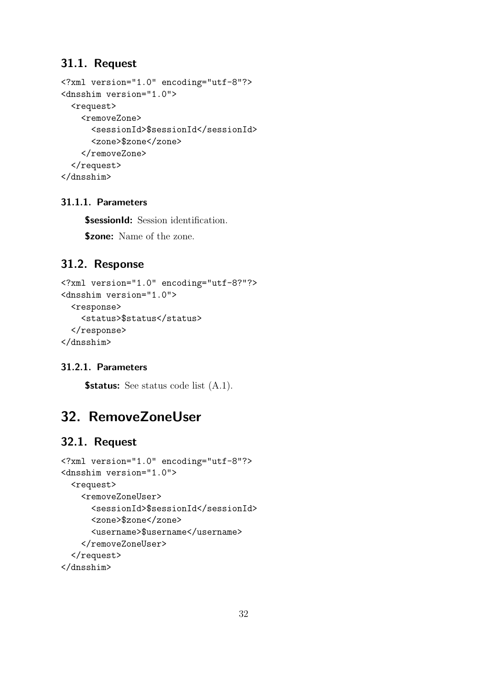### 31.1. Request

```
<?xml version="1.0" encoding="utf-8"?>
<dnsshim version="1.0">
  <request>
    <removeZone>
      <sessionId>$sessionId</sessionId>
      <zone>$zone</zone>
    </removeZone>
  \langlerequest>
</dnsshim>
```
#### 31.1.1. Parameters

**\$sessionId:** Session identification. \$zone: Name of the zone.

## 31.2. Response

```
<?xml version="1.0" encoding="utf-8?"?>
<dnsshim version="1.0">
  <response>
    <status>$status</status>
  </response>
</dnsshim>
```
### 31.2.1. Parameters

**\$status:** See status code list  $(A.1)$ .

## 32. RemoveZoneUser

```
<?xml version="1.0" encoding="utf-8"?>
<dnsshim version="1.0">
  <request>
    <removeZoneUser>
      <sessionId>$sessionId</sessionId>
      <zone>$zone</zone>
      <username>$username</username>
    </removeZoneUser>
  </request>
</dnsshim>
```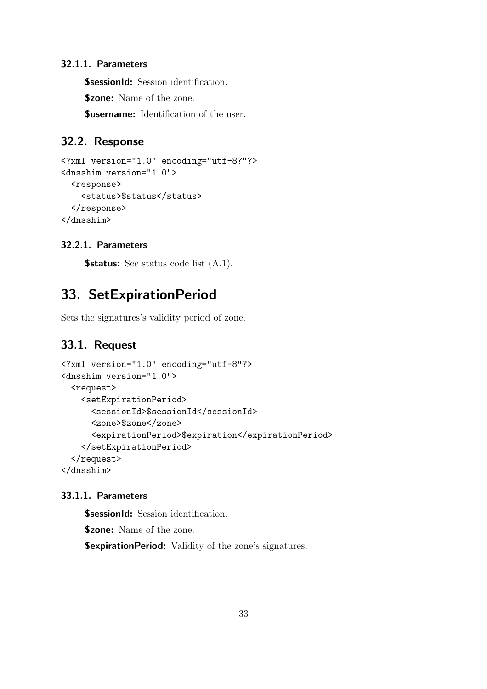**\$sessionId:** Session identification.

**\$zone:** Name of the zone.

**Susername:** Identification of the user.

### 32.2. Response

```
<?xml version="1.0" encoding="utf-8?"?>
<dnsshim version="1.0">
  <response>
    <status>$status</status>
  </response>
</dnsshim>
```
#### 32.2.1. Parameters

**\$status:** See status code list  $(A.1)$ .

## 33. SetExpirationPeriod

Sets the signatures's validity period of zone.

#### 33.1. Request

```
<?xml version="1.0" encoding="utf-8"?>
<dnsshim version="1.0">
  <request>
    <setExpirationPeriod>
      <sessionId>$sessionId</sessionId>
      <zone>$zone</zone>
      <expirationPeriod>$expiration</expirationPeriod>
    </setExpirationPeriod>
  </request>
</dnsshim>
```
#### 33.1.1. Parameters

**\$sessionId:** Session identification.

\$zone: Name of the zone.

**\$expirationPeriod:** Validity of the zone's signatures.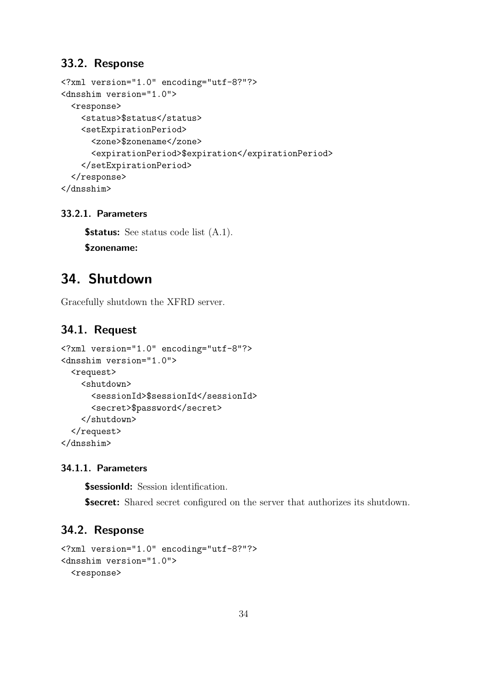### 33.2. Response

```
<?xml version="1.0" encoding="utf-8?"?>
<dnsshim version="1.0">
  <response>
    <status>$status</status>
    <setExpirationPeriod>
      <zone>$zonename</zone>
      <expirationPeriod>$expiration</expirationPeriod>
    </setExpirationPeriod>
  </response>
</dnsshim>
```
#### 33.2.1. Parameters

**\$status:** See status code list  $(A.1)$ . \$zonename:

## 34. Shutdown

Gracefully shutdown the XFRD server.

#### 34.1. Request

```
<?xml version="1.0" encoding="utf-8"?>
<dnsshim version="1.0">
  <request>
    <shutdown>
      <sessionId>$sessionId</sessionId>
      <secret>$password</secret>
    </shutdown>
  </request>
</dnsshim>
```
#### 34.1.1. Parameters

**\$sessionId:** Session identification.

**\$secret:** Shared secret configured on the server that authorizes its shutdown.

```
<?xml version="1.0" encoding="utf-8?"?>
<dnsshim version="1.0">
  <response>
```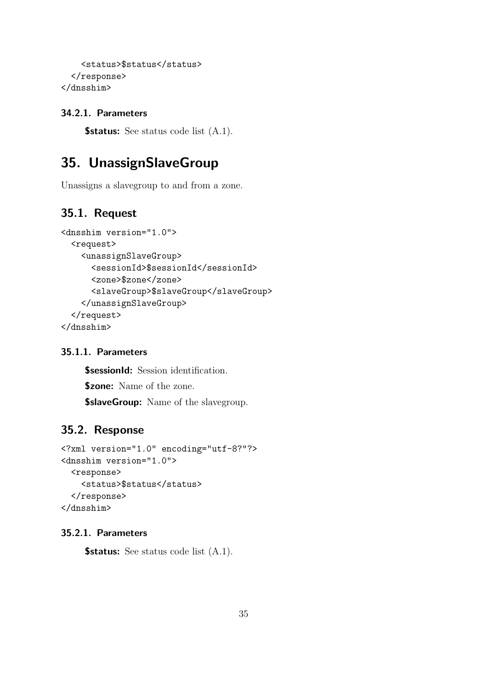```
<status>$status</status>
  </response>
</dnsshim>
```
**\$status:** See status code list  $(A.1)$ .

## 35. UnassignSlaveGroup

Unassigns a slavegroup to and from a zone.

## 35.1. Request

```
<dnsshim version="1.0">
  <request>
    <unassignSlaveGroup>
      <sessionId>$sessionId</sessionId>
      <zone>$zone</zone>
      <slaveGroup>$slaveGroup</slaveGroup>
    </unassignSlaveGroup>
  </request>
</dnsshim>
```
#### 35.1.1. Parameters

**\$sessionId:** Session identification. **\$zone:** Name of the zone. **\$slaveGroup:** Name of the slavegroup.

## 35.2. Response

```
<?xml version="1.0" encoding="utf-8?"?>
<dnsshim version="1.0">
  <response>
    <status>$status</status>
  </response>
</dnsshim>
```
#### 35.2.1. Parameters

**\$status:** See status code list  $(A.1)$ .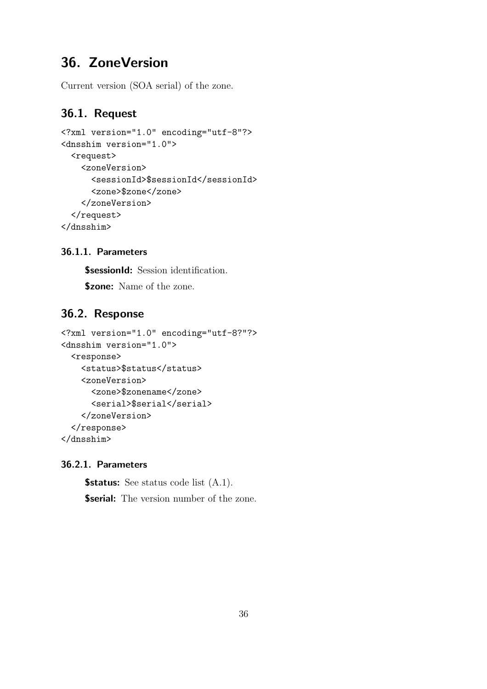## 36. ZoneVersion

Current version (SOA serial) of the zone.

## 36.1. Request

```
<?xml version="1.0" encoding="utf-8"?>
<dnsshim version="1.0">
  <request>
    <zoneVersion>
      <sessionId>$sessionId</sessionId>
      <zone>$zone</zone>
    </zoneVersion>
  </request>
</dnsshim>
```
#### 36.1.1. Parameters

**\$sessionId:** Session identification.

\$zone: Name of the zone.

### 36.2. Response

```
<?xml version="1.0" encoding="utf-8?"?>
<dnsshim version="1.0">
  <response>
    <status>$status</status>
    <zoneVersion>
      <zone>$zonename</zone>
      <serial>$serial</serial>
    </zoneVersion>
  </response>
</dnsshim>
```
#### 36.2.1. Parameters

**\$status:** See status code list  $(A.1)$ . **\$serial:** The version number of the zone.